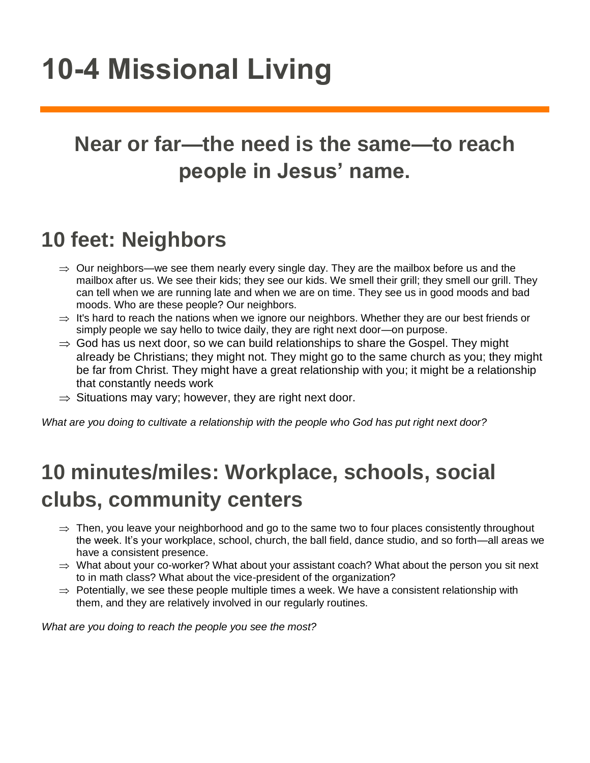# **10-4 Missional Living**

## **Near or far—the need is the same—to reach people in Jesus' name.**

## **10 feet: Neighbors**

- $\Rightarrow$  Our neighbors—we see them nearly every single day. They are the mailbox before us and the mailbox after us. We see their kids; they see our kids. We smell their grill; they smell our grill. They can tell when we are running late and when we are on time. They see us in good moods and bad moods. Who are these people? Our neighbors.
- $\Rightarrow$  It's hard to reach the nations when we ignore our neighbors. Whether they are our best friends or simply people we say hello to twice daily, they are right next door—on purpose.
- $\Rightarrow$  God has us next door, so we can build relationships to share the Gospel. They might already be Christians; they might not. They might go to the same church as you; they might be far from Christ. They might have a great relationship with you; it might be a relationship that constantly needs work
- $\Rightarrow$  Situations may vary; however, they are right next door.

*What are you doing to cultivate a relationship with the people who God has put right next door?*

# **10 minutes/miles: Workplace, schools, social clubs, community centers**

- $\Rightarrow$  Then, you leave your neighborhood and go to the same two to four places consistently throughout the week. It's your workplace, school, church, the ball field, dance studio, and so forth—all areas we have a consistent presence.
- $\Rightarrow$  What about your co-worker? What about your assistant coach? What about the person you sit next to in math class? What about the vice-president of the organization?
- $\Rightarrow$  Potentially, we see these people multiple times a week. We have a consistent relationship with them, and they are relatively involved in our regularly routines.

*What are you doing to reach the people you see the most?*